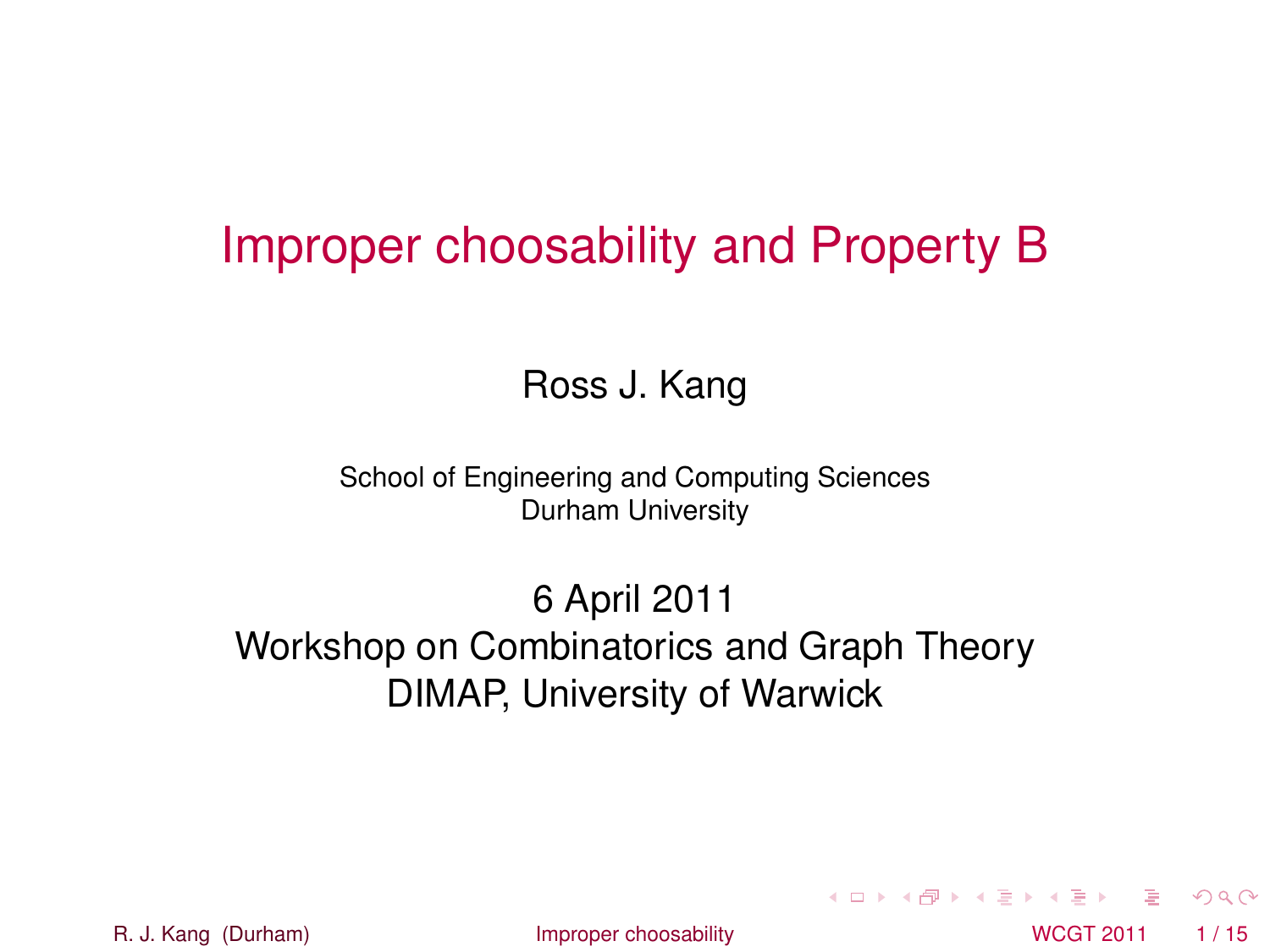### Improper choosability and Property B

#### Ross J. Kang

School of Engineering and Computing Sciences Durham University

6 April 2011 Workshop on Combinatorics and Graph Theory DIMAP, University of Warwick

R. J. Kang (Durham) **[Improper choosability](#page-21-0)** Interventional MCGT 2011 1/15

<span id="page-0-0"></span> $\Omega$ 

 $(0,1)$   $(0,1)$   $(0,1)$   $(1,1)$   $(1,1)$   $(1,1)$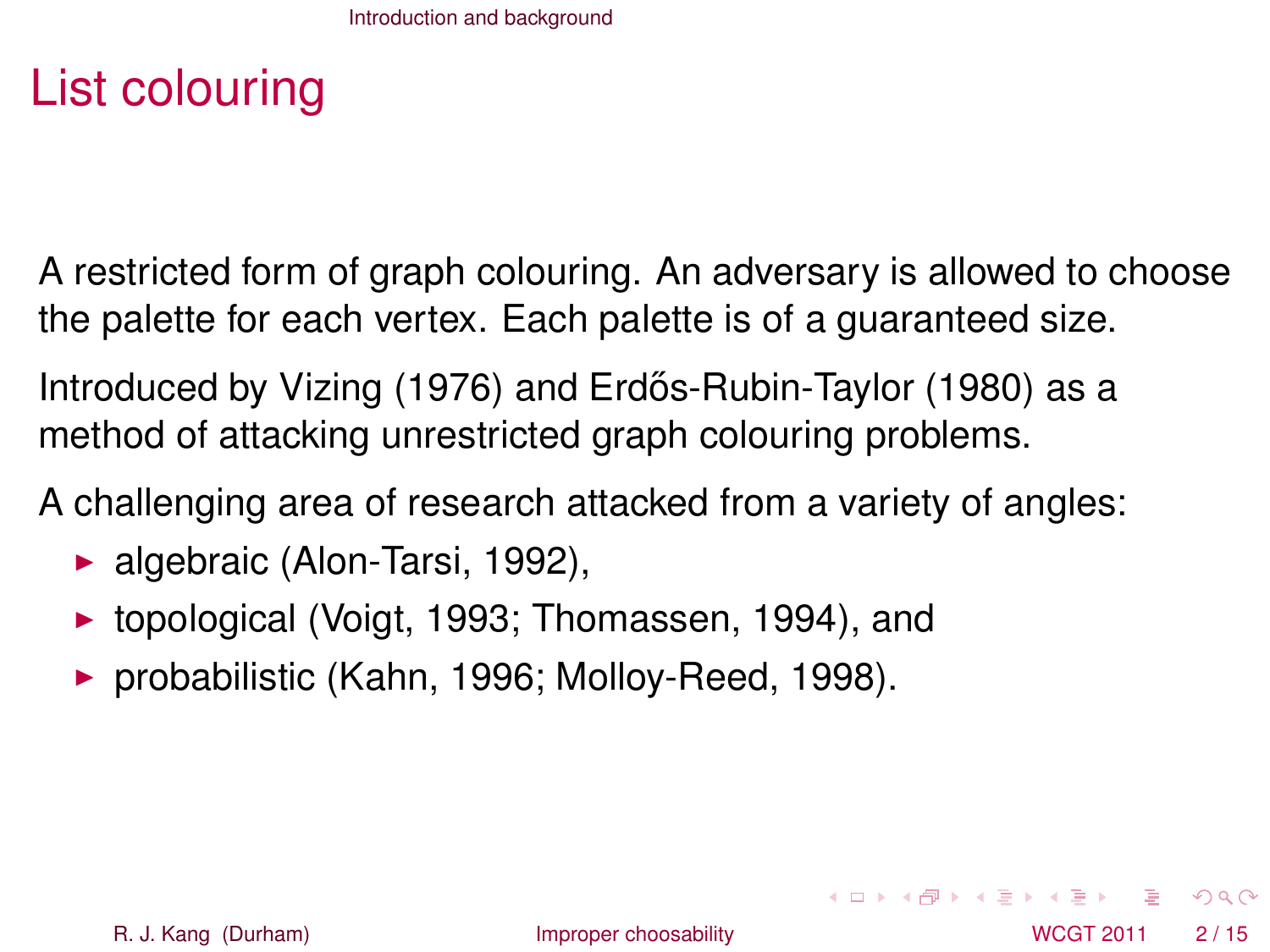# List colouring

A restricted form of graph colouring. An adversary is allowed to choose the palette for each vertex. Each palette is of a guaranteed size.

Introduced by Vizing (1976) and Erdős-Rubin-Taylor (1980) as a method of attacking unrestricted graph colouring problems.

A challenging area of research attacked from a variety of angles:

- $\blacktriangleright$  algebraic (Alon-Tarsi, 1992),
- $\triangleright$  topological (Voigt, 1993; Thomassen, 1994), and
- $\triangleright$  probabilistic (Kahn, 1996; Molloy-Reed, 1998).

<span id="page-1-0"></span> $\Omega$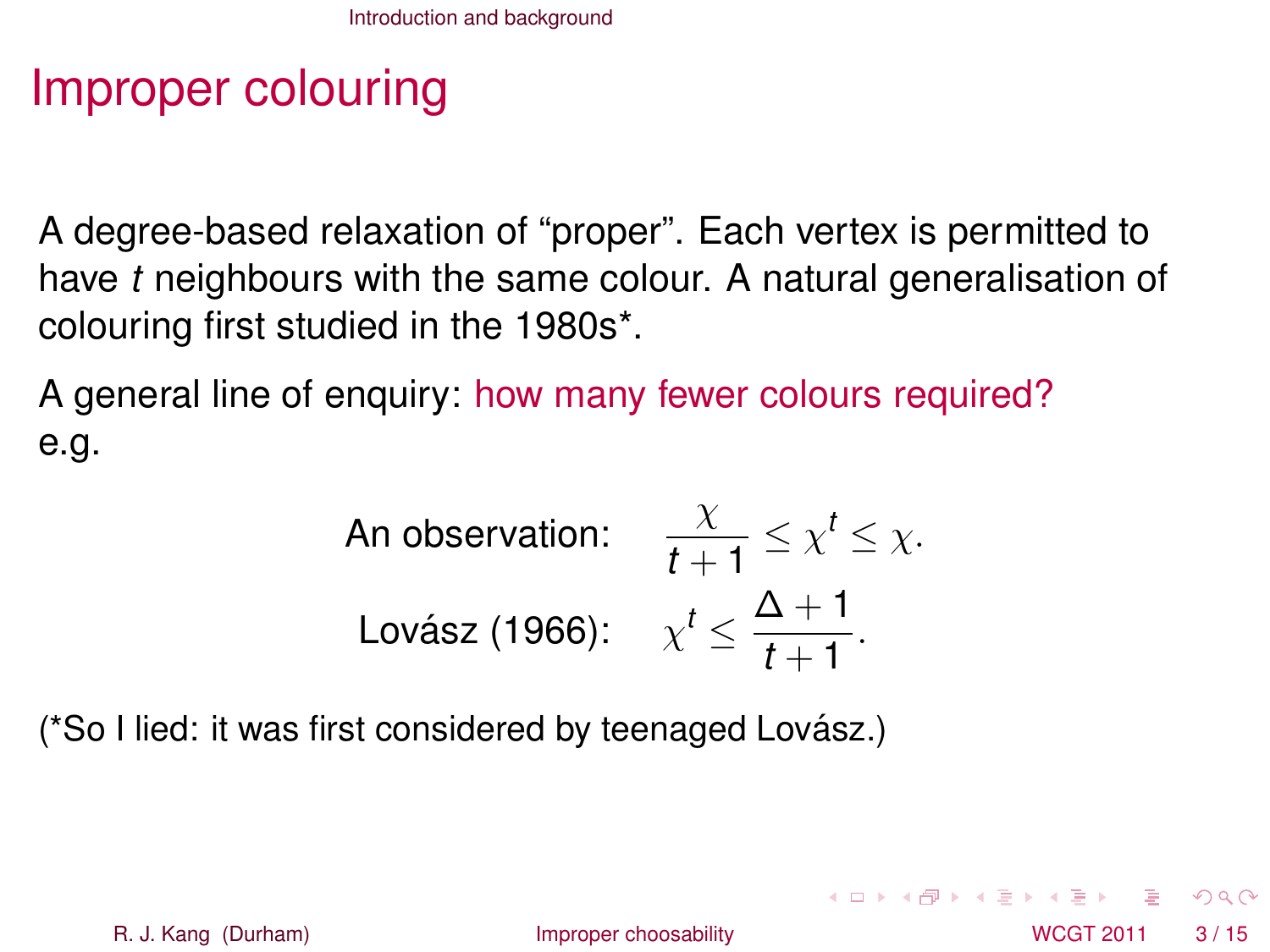# Improper colouring

A degree-based relaxation of "proper". Each vertex is permitted to have *t* neighbours with the same colour. A natural generalisation of colouring first studied in the 1980s\*.

A general line of enquiry: how many fewer colours required? e.g.

An observation: 
$$
\frac{\chi}{t+1} \leq \chi^t \leq \chi.
$$
  
Lovász (1966): 
$$
\chi^t \leq \frac{\Delta + 1}{t+1}.
$$

(\*So I lied: it was first considered by teenaged Lovász.)

<span id="page-2-0"></span> $\Omega$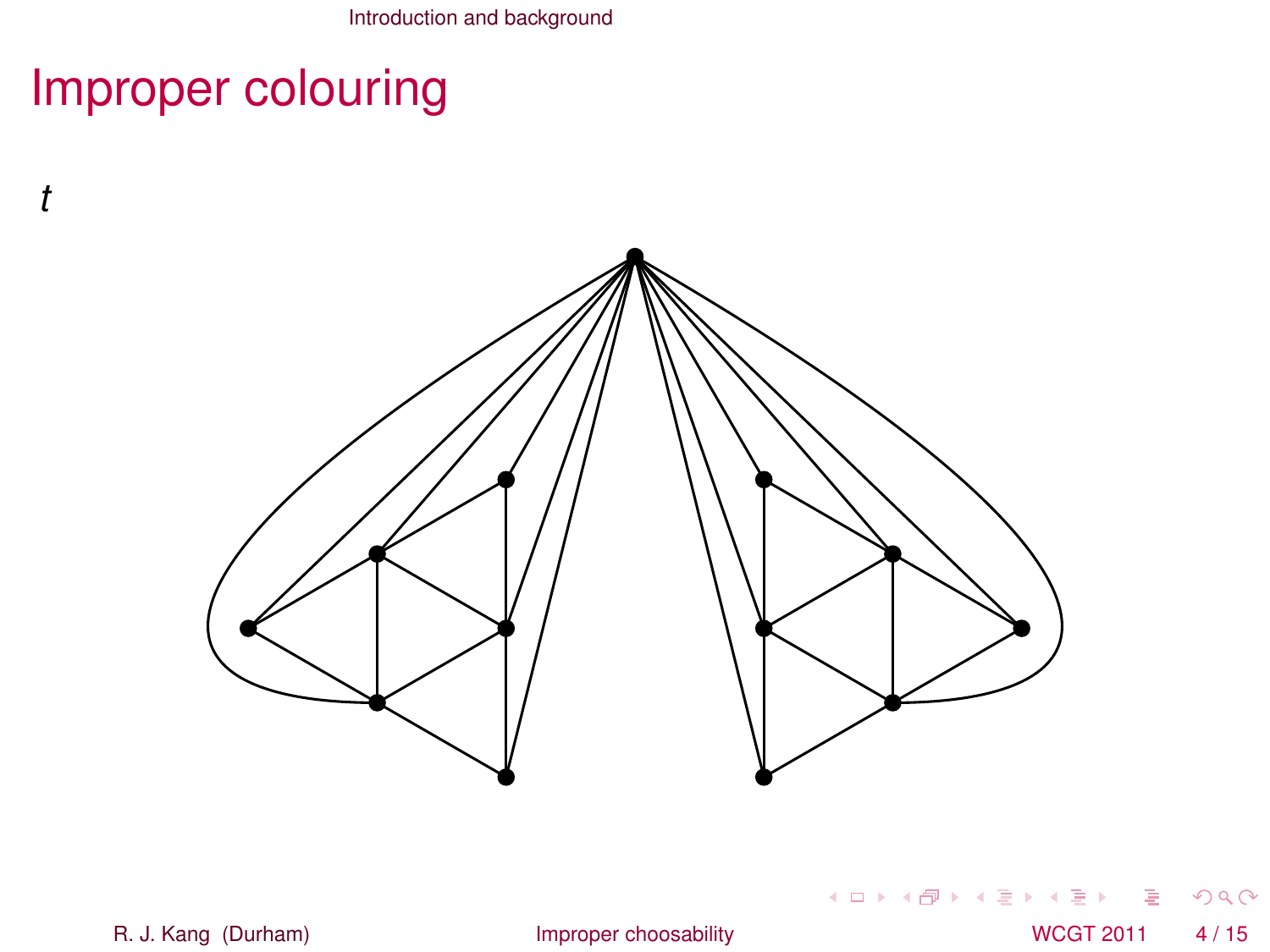# Improper colouring

*t*



R. J. Kang (Durham) [Improper choosability](#page-0-0) NCGT 2011 4/15

重

<span id="page-3-0"></span> $299$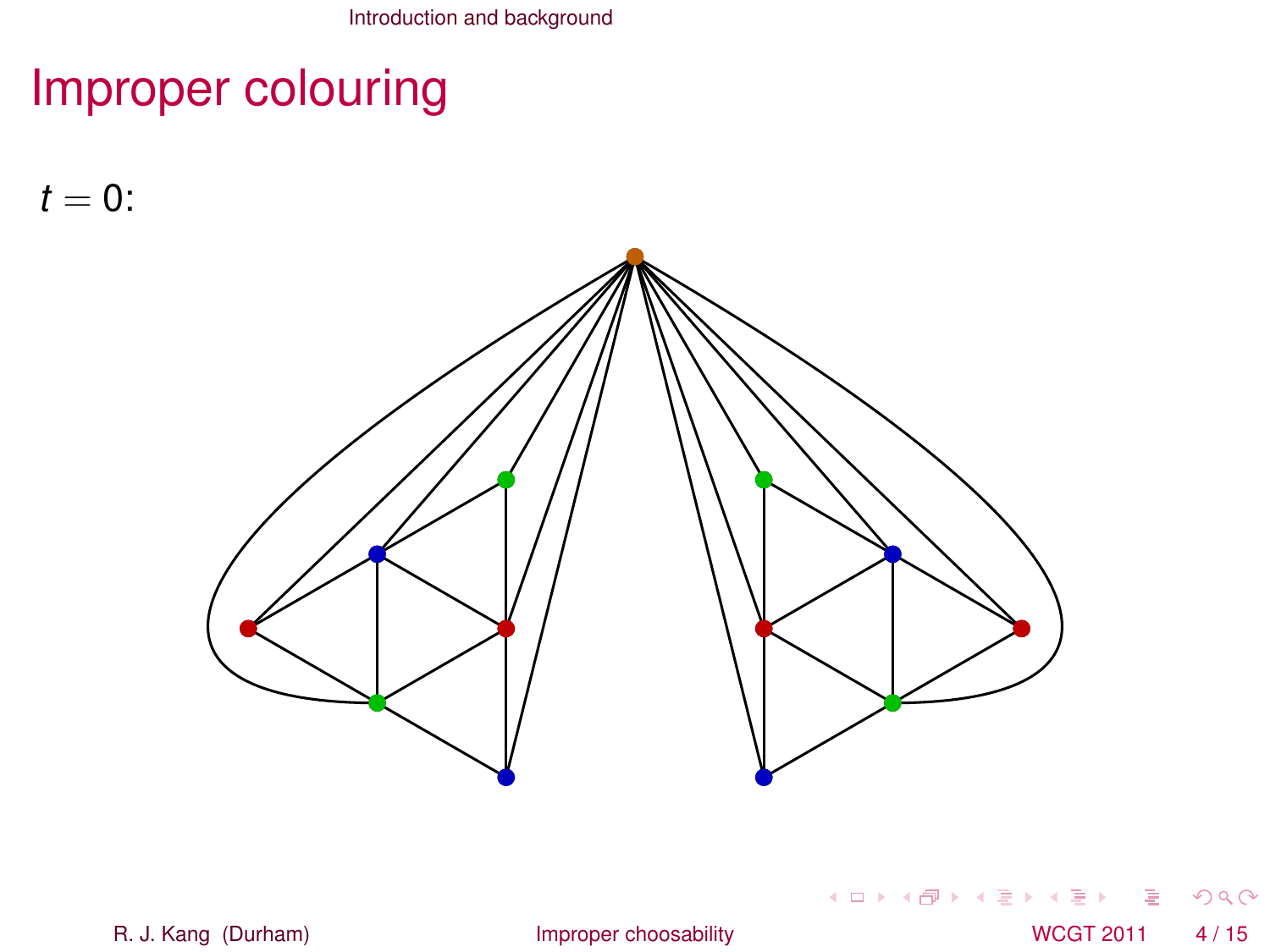# Improper colouring

 $t = 0$ :



重 R. J. Kang (Durham) [Improper choosability](#page-0-0) NCGT 2011 4/15

<span id="page-4-0"></span> $299$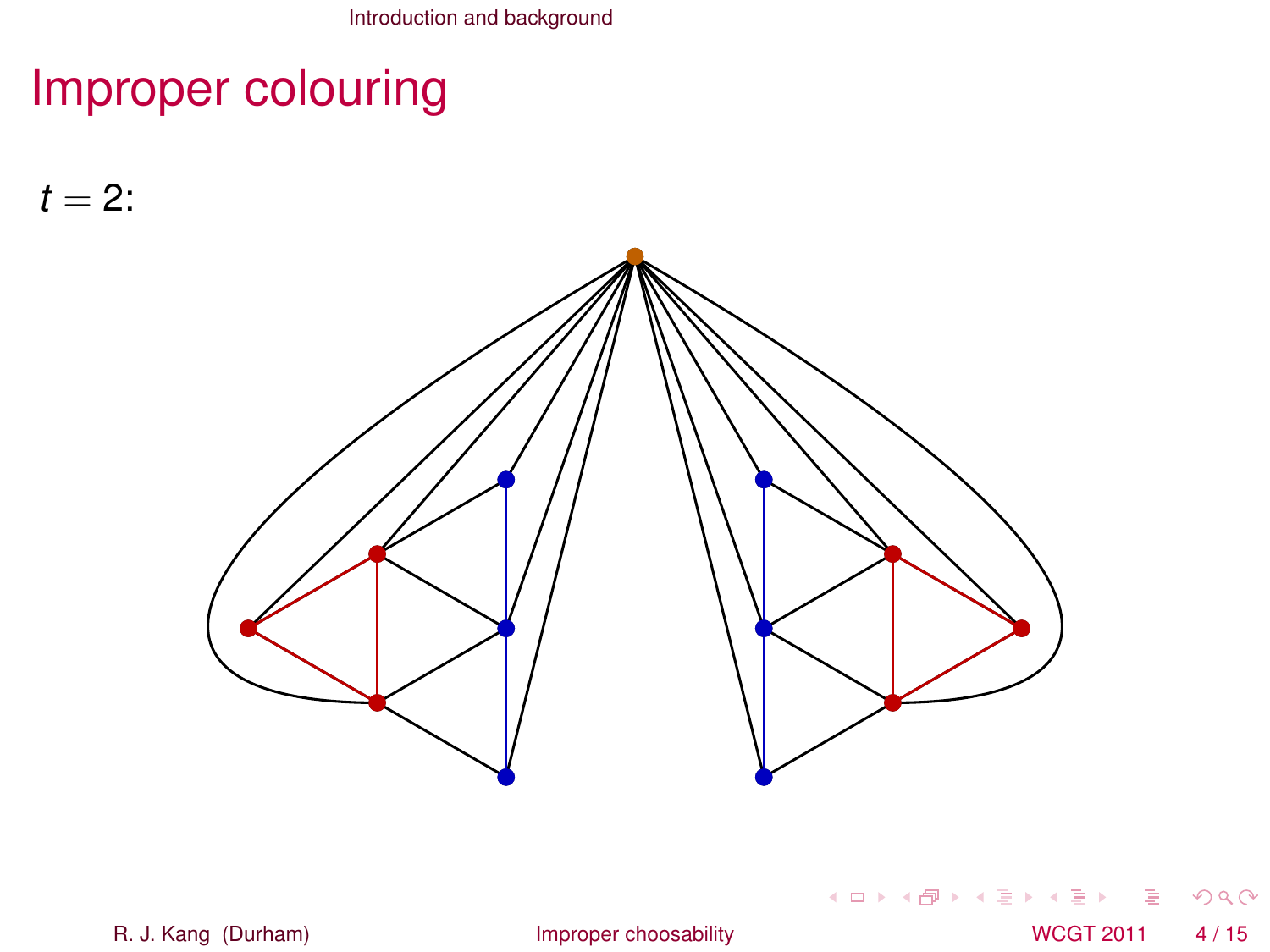# Improper colouring

 $t = 2$ :



重 R. J. Kang (Durham) [Improper choosability](#page-0-0) CHO MCGT 2011 4/15

<span id="page-5-0"></span> $299$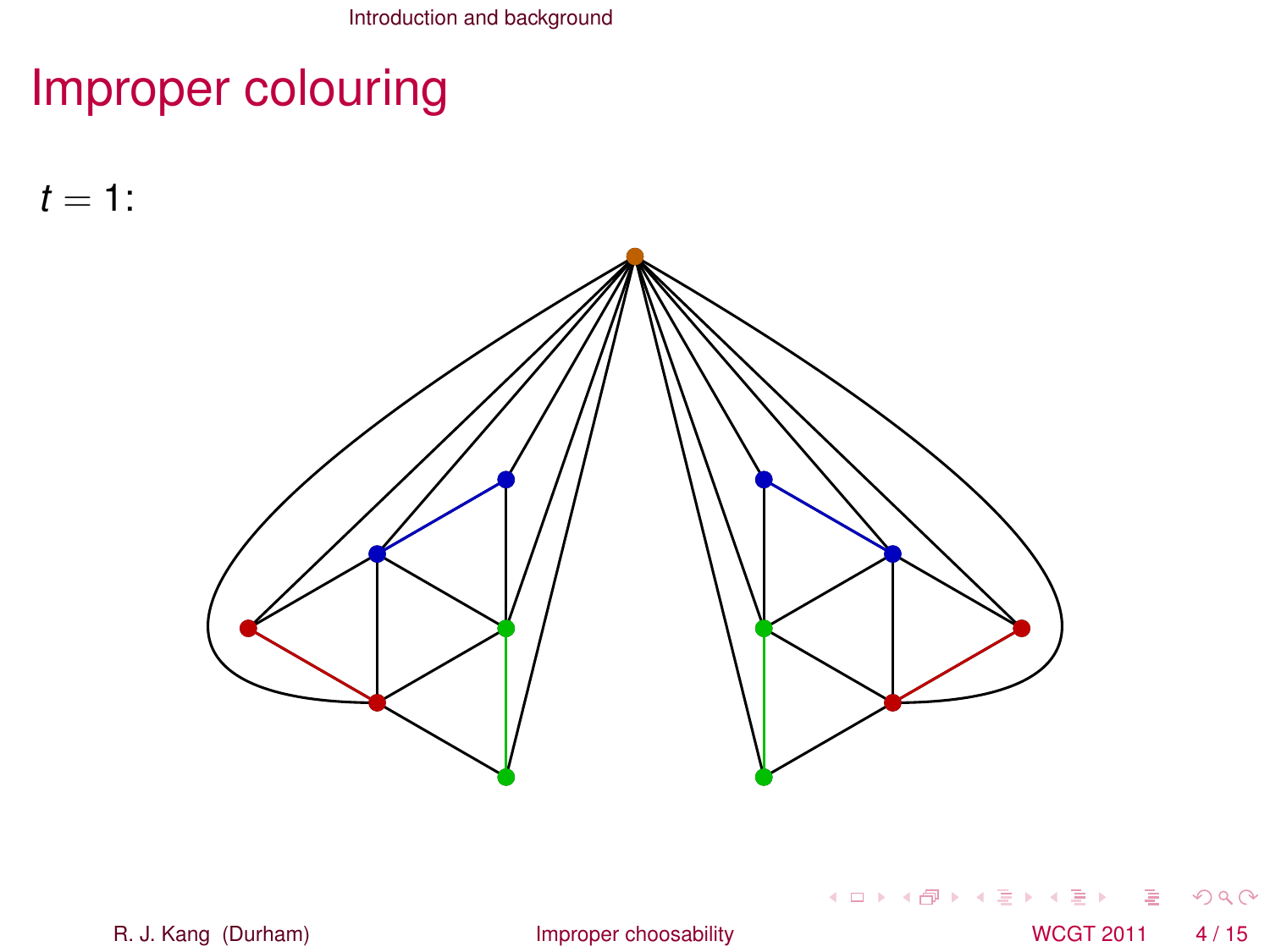# Improper colouring

 $t = 1$ :



重 R. J. Kang (Durham) [Improper choosability](#page-0-0) CHO MCGT 2011 4/15

<span id="page-6-0"></span> $299$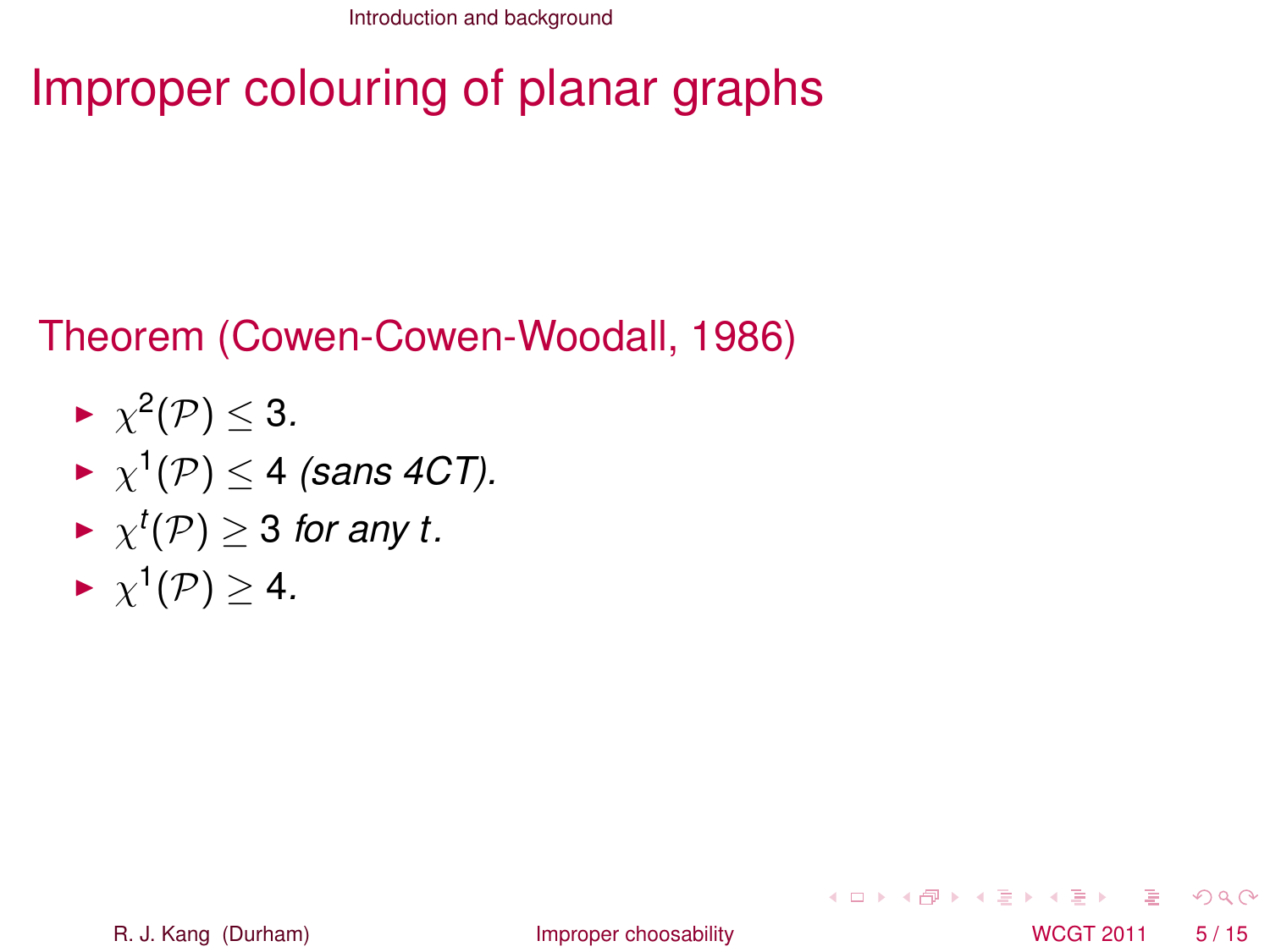# Improper colouring of planar graphs

#### Theorem (Cowen-Cowen-Woodall, 1986)

- $\blacktriangleright \ \chi^2(\mathcal{P}) \leq 3.$
- $\blacktriangleright \ \chi^1(\mathcal{P}) \leq 4$  *(sans 4CT).*
- $\blacktriangleright \ \chi^t(\mathcal{P}) \geq 3$  for any t.
- $\blacktriangleright \ \chi^1(\mathcal{P}) \geq 4.$

<span id="page-7-0"></span> $\Omega$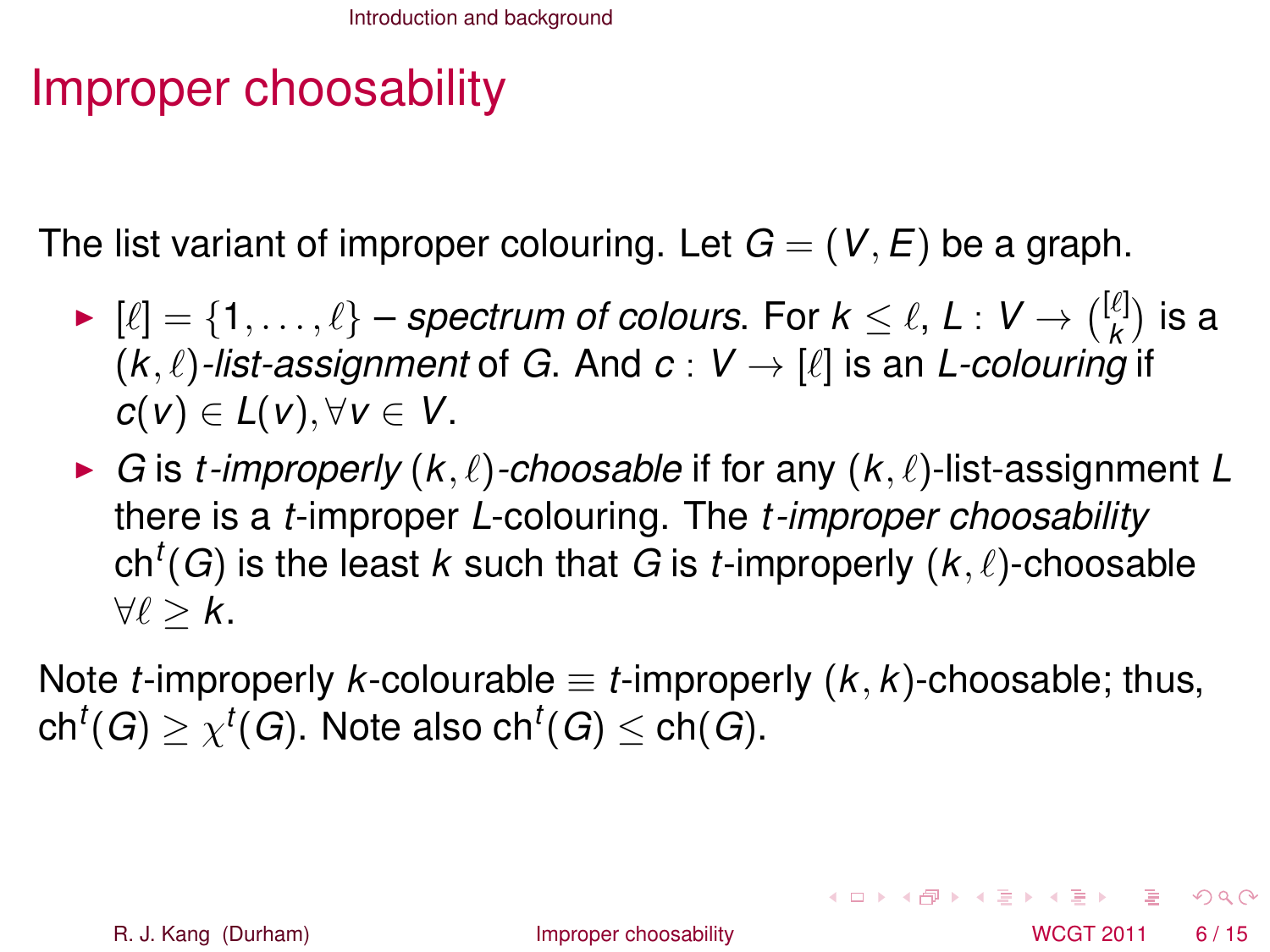# Improper choosability

The list variant of improper colouring. Let  $G = (V, E)$  be a graph.

- ►  $[\ell] = \{1, \ldots, \ell\}$  *spectrum of colours*. For  $k \leq \ell, L : V \rightarrow \binom{[\ell]}{k}$  $\binom{\ell}{k}$  is a  $(k, \ell)$ *-list-assignment* of *G*. And  $c : V \rightarrow [\ell]$  is an *L-colouring* if *c*(*v*) ∈ *L*(*v*), ∀*v* ∈ *V*.
- $\blacktriangleright$  *G* is *t*-improperly  $(k, \ell)$ -choosable if for any  $(k, \ell)$ -list-assignment *L* there is a *t*-improper *L*-colouring. The *t -improper choosability*  $\mathsf{ch}^t(G)$  is the least  $k$  such that  $G$  is  $t$ -improperly  $(k,\ell)$ -choosable  $\forall \ell > k$ .

Note *t*-improperly *k*-colourable  $\equiv$  *t*-improperly  $(K, K)$ -choosable; thus,  $\mathsf{ch}^t(G) \ge \chi^t(G).$  Note also  $\mathsf{ch}^t(G) \le \mathsf{ch}(G).$ 

<span id="page-8-0"></span> $\Omega$ 

 $(0.123 \times 10^{-14})$   $(0.123 \times 10^{-14})$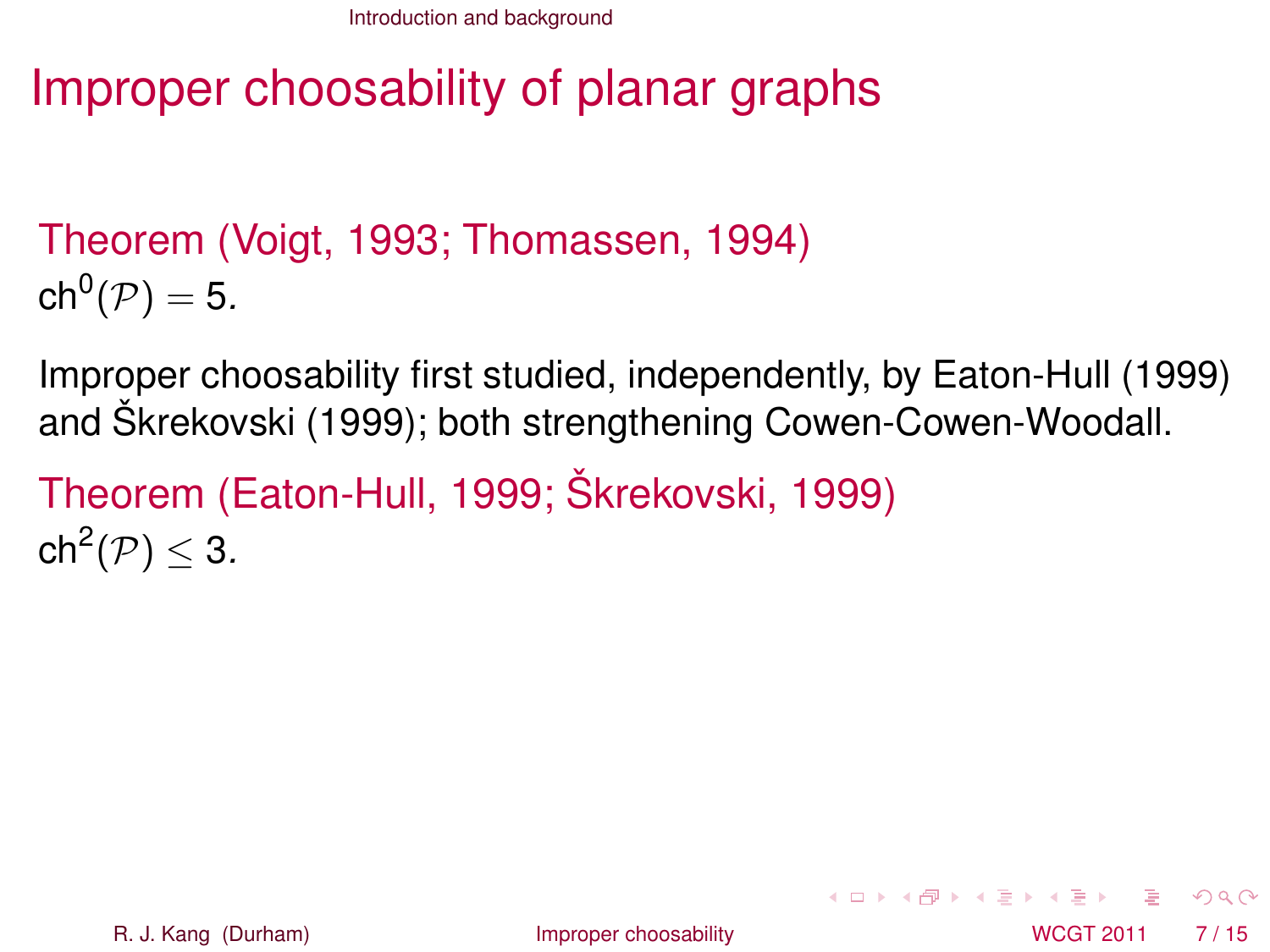# Improper choosability of planar graphs

### Theorem (Voigt, 1993; Thomassen, 1994)  $\mathsf{ch}^0(\mathcal{P})=5.$

Improper choosability first studied, independently, by Eaton-Hull (1999) and Škrekovski (1999); both strengthening Cowen-Cowen-Woodall.

```
Theorem (Eaton-Hull, 1999; Škrekovski, 1999)
\mathsf{ch}^2(\mathcal{P}) \leq 3.
```
<span id="page-9-0"></span> $\Omega$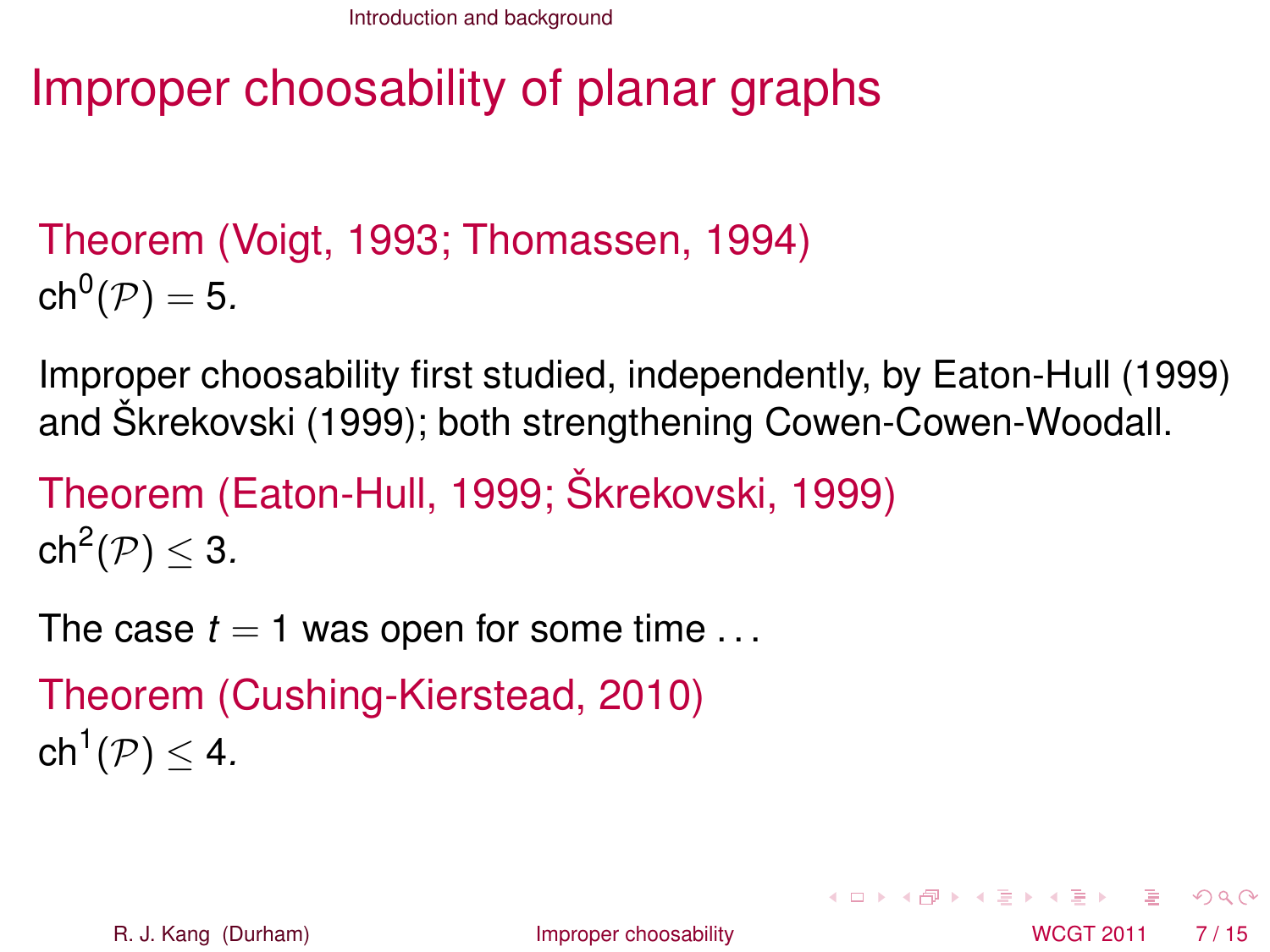# Improper choosability of planar graphs

### Theorem (Voigt, 1993; Thomassen, 1994)  $\mathsf{ch}^0(\mathcal{P})=5.$

Improper choosability first studied, independently, by Eaton-Hull (1999) and Škrekovski (1999); both strengthening Cowen-Cowen-Woodall.

```
Theorem (Eaton-Hull, 1999; Škrekovski, 1999)
\mathsf{ch}^2(\mathcal{P}) \leq 3.
```
The case  $t = 1$  was open for some time  $\dots$ 

```
Theorem (Cushing-Kierstead, 2010)
\mathsf{ch}^1(\mathcal{P}) \leq 4.
```
<span id="page-10-0"></span> $\Omega$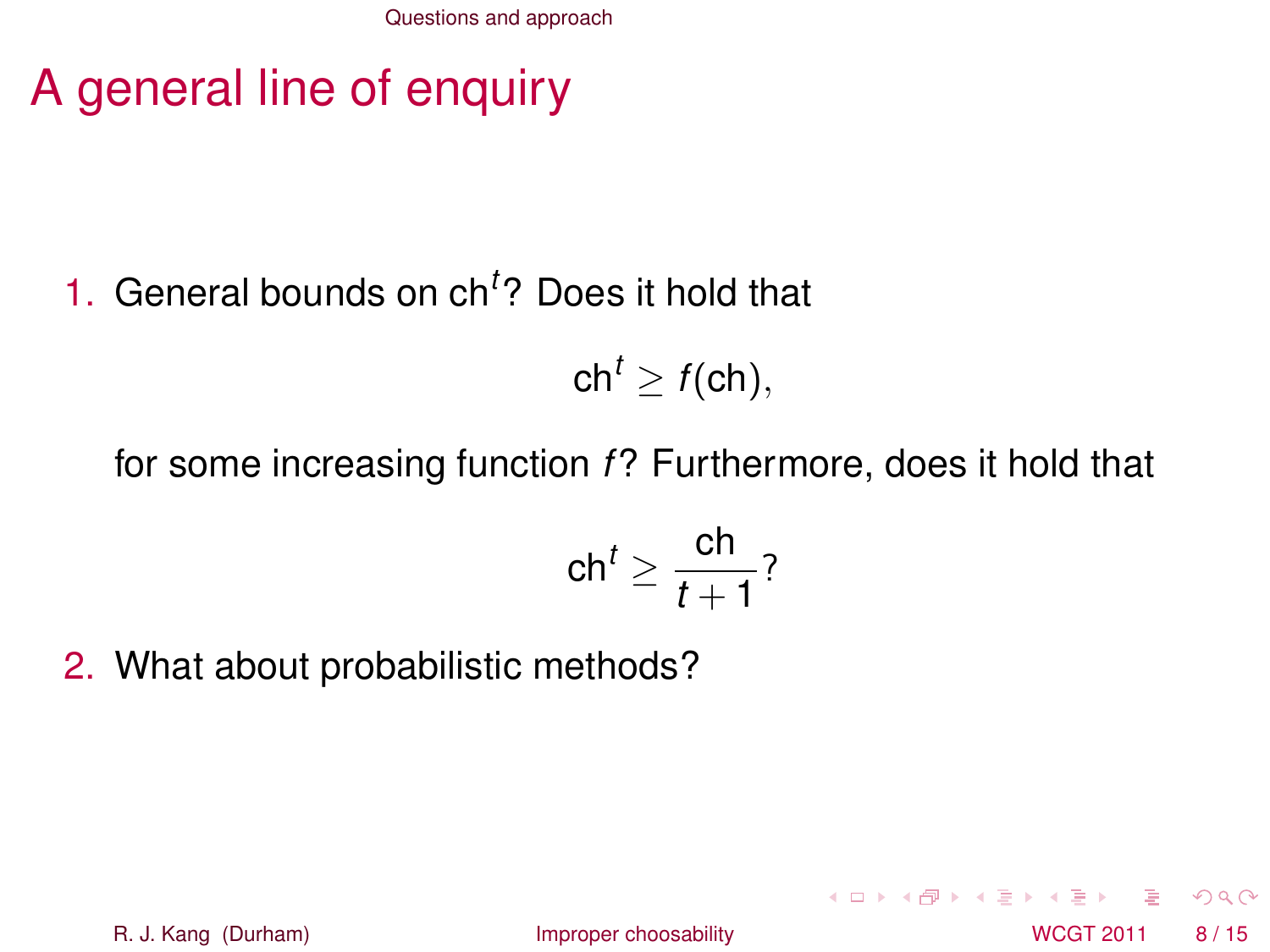[Questions and approach](#page-11-0)

# A general line of enquiry

### 1. General bounds on ch*<sup>t</sup>* ? Does it hold that

 $ch<sup>t</sup> > f(ch)$ ,

#### for some increasing function *f*? Furthermore, does it hold that

$$
\mathsf{ch}^t \geq \frac{\mathsf{ch}}{t+1}
$$
?

2. What about probabilistic methods?

R. J. Kang (Durham) **[Improper choosability](#page-0-0)** New York 2011 8/15

<span id="page-11-0"></span>4 ロト 4 何 ト 4 ヨ ト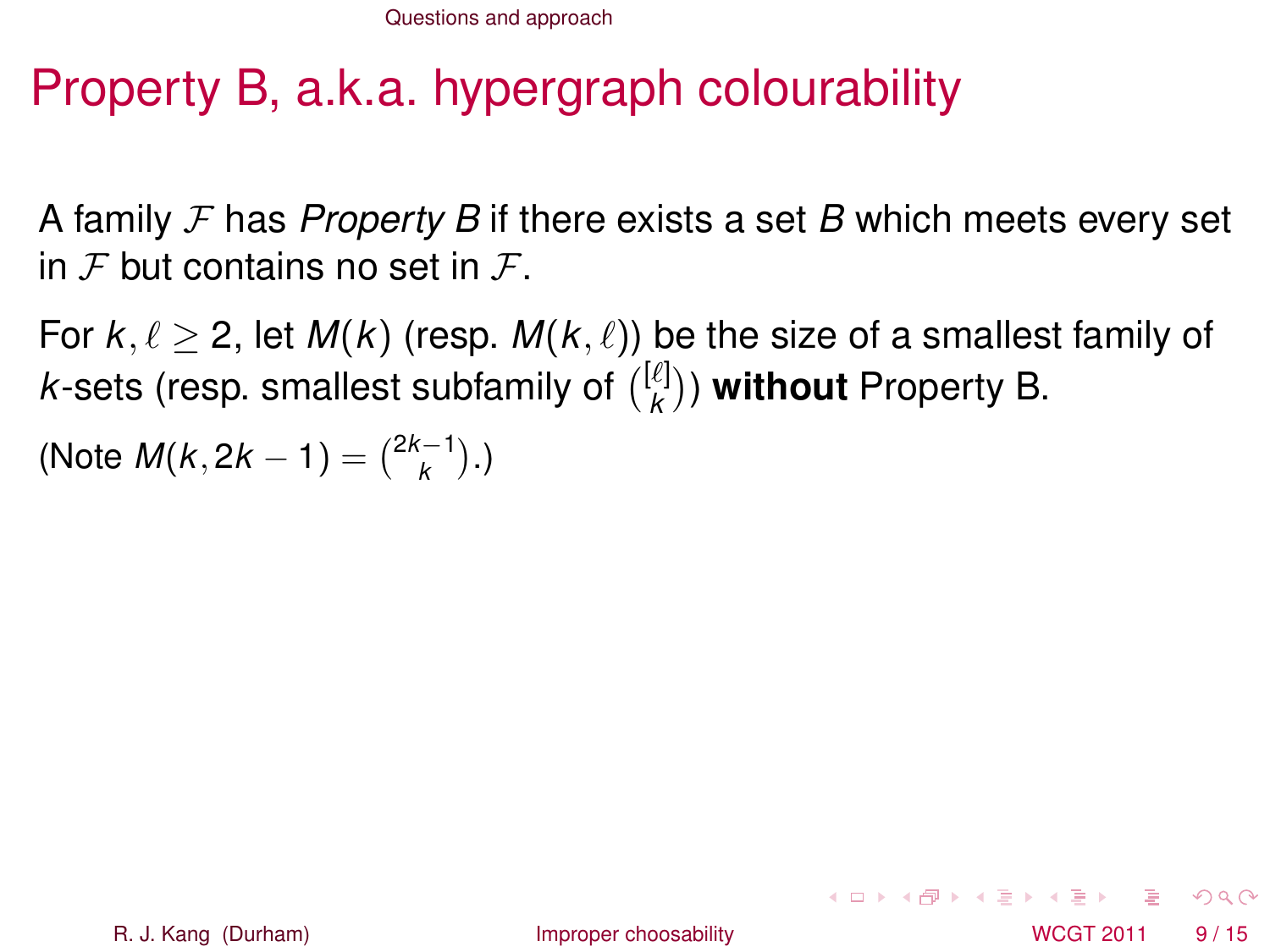# Property B, a.k.a. hypergraph colourability

A family F has *Property B* if there exists a set *B* which meets every set in  $\mathcal F$  but contains no set in  $\mathcal F$ .

For  $k, \ell > 2$ , let  $M(k)$  (resp.  $M(k, \ell)$ ) be the size of a smallest family of *k*-sets (resp. smallest subfamily of  $\binom{[\ell]}{k}$  $\binom{k}{k}$ ) **without** Property B.

(Note  $M(k, 2k - 1) = \binom{2k-1}{k}$ .)

<span id="page-12-0"></span> $\Omega$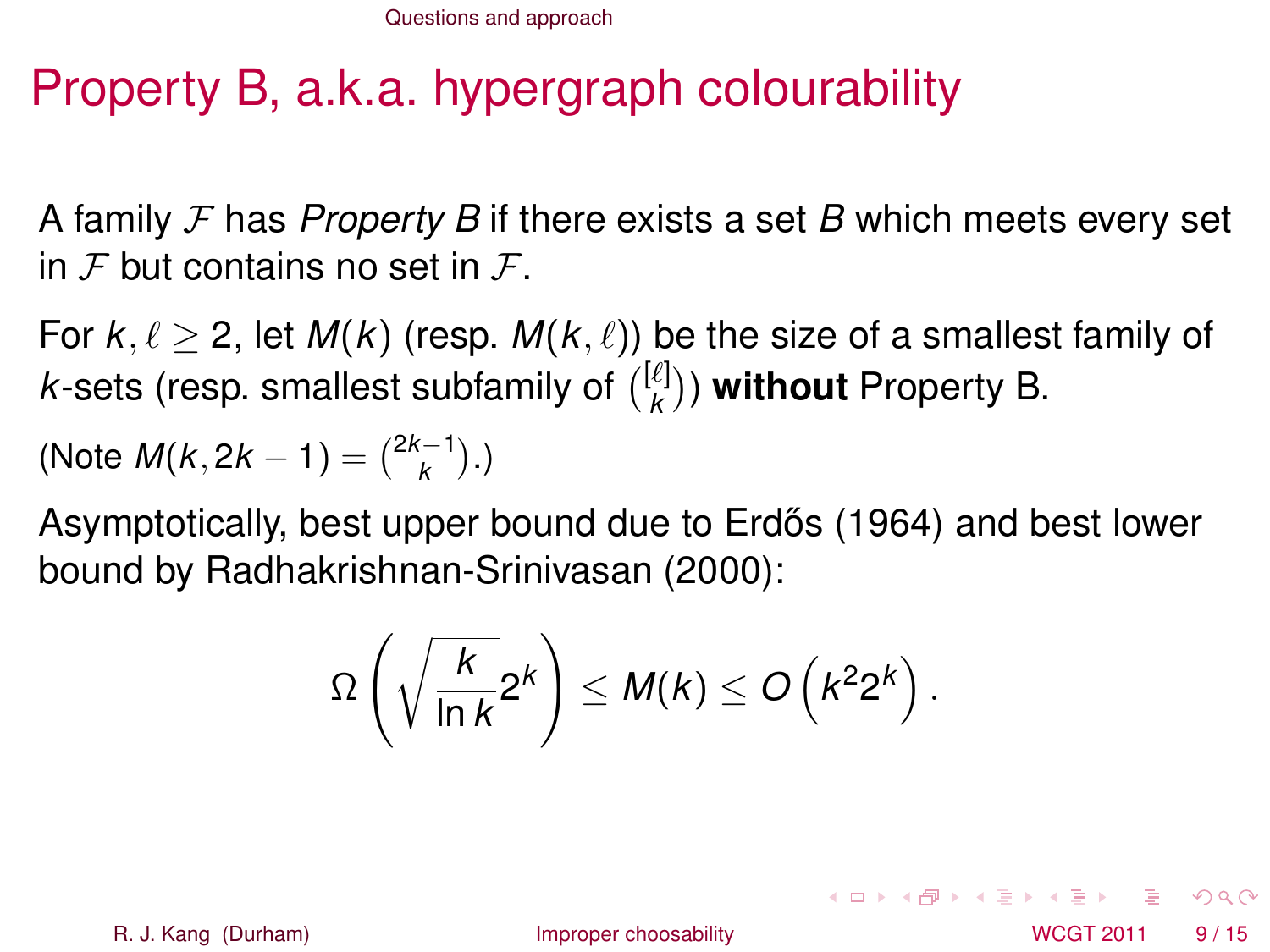# Property B, a.k.a. hypergraph colourability

A family F has *Property B* if there exists a set *B* which meets every set in  $\mathcal F$  but contains no set in  $\mathcal F$ .

For  $k, \ell > 2$ , let  $M(k)$  (resp.  $M(k, \ell)$ ) be the size of a smallest family of *k*-sets (resp. smallest subfamily of  $\binom{[\ell]}{k}$  $\binom{k}{k}$ ) **without** Property B.

(Note 
$$
M(k, 2k - 1) = {2k - 1 \choose k}
$$
.)

Asymptotically, best upper bound due to Erdős (1964) and best lower bound by Radhakrishnan-Srinivasan (2000):

$$
\Omega\left(\sqrt{\frac{k}{\ln k}}2^k\right)\leq M(k)\leq O\left(k^22^k\right).
$$

R. J. Kang (Durham) **[Improper choosability](#page-0-0)** Interventional MCGT 2011 9/15

<span id="page-13-0"></span> $\Omega$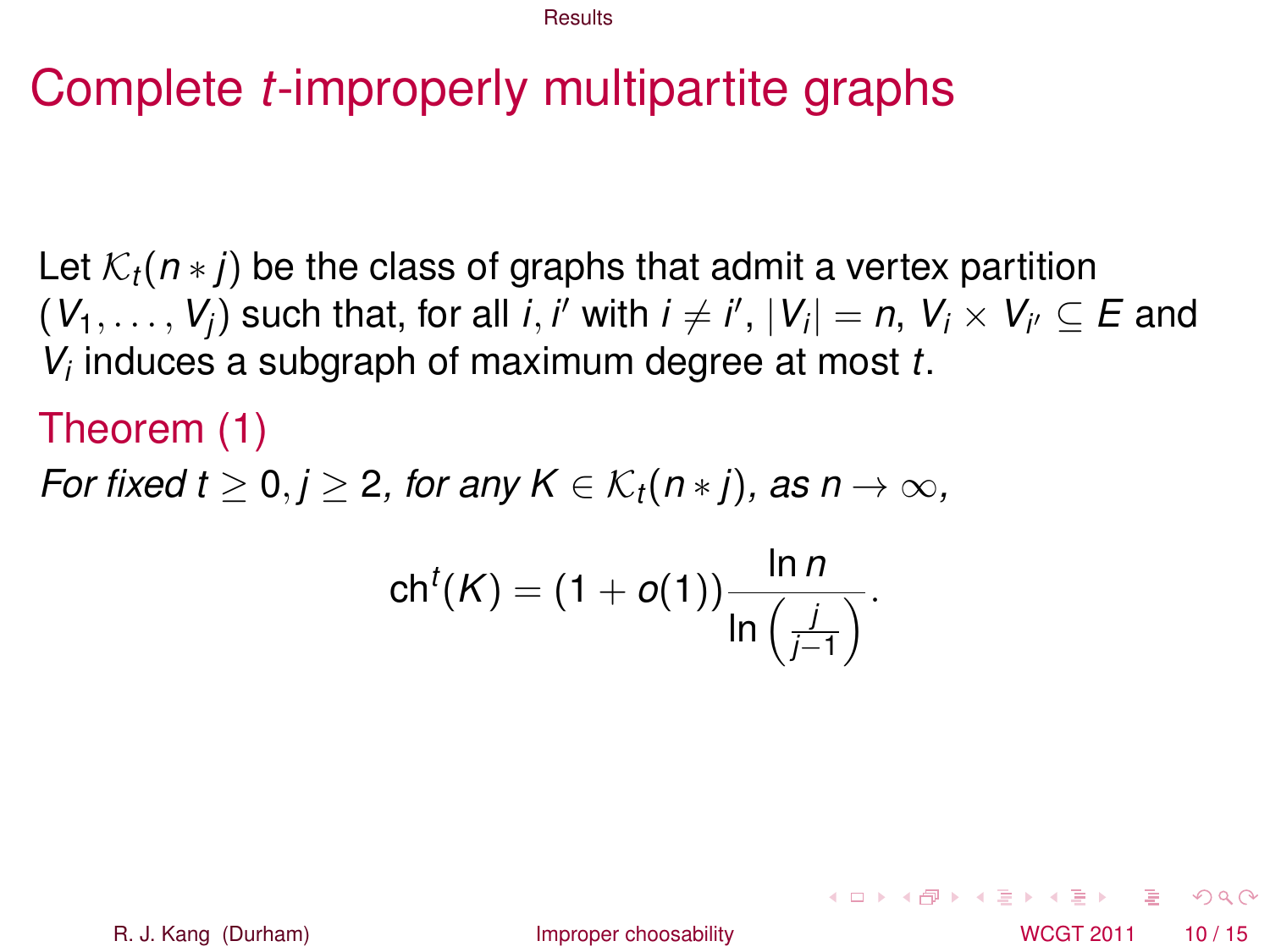### Complete *t*-improperly multipartite graphs

Let K*t*(*n* ∗ *j*) be the class of graphs that admit a vertex partition  $(V_1, \ldots, V_j)$  such that, for all *i*, *i'* with  $i \neq i', \, |V_i| = n, \, V_i \times V_{i'} \subseteq E$  and *Vi* induces a subgraph of maximum degree at most *t*.

#### Theorem (1)

*For fixed t*  $\geq 0, j \geq 2$ , for any  $K \in \mathcal{K}_t(n * j)$ , as  $n \to \infty$ ,

$$
\mathsf{ch}^t(K) = (1+o(1))\frac{\ln n}{\ln\left(\frac{j}{j-1}\right)}.
$$

R. J. Kang (Durham) **[Improper choosability](#page-0-0)** Interventional MCGT 2011 10 / 15

<span id="page-14-0"></span> $\Omega$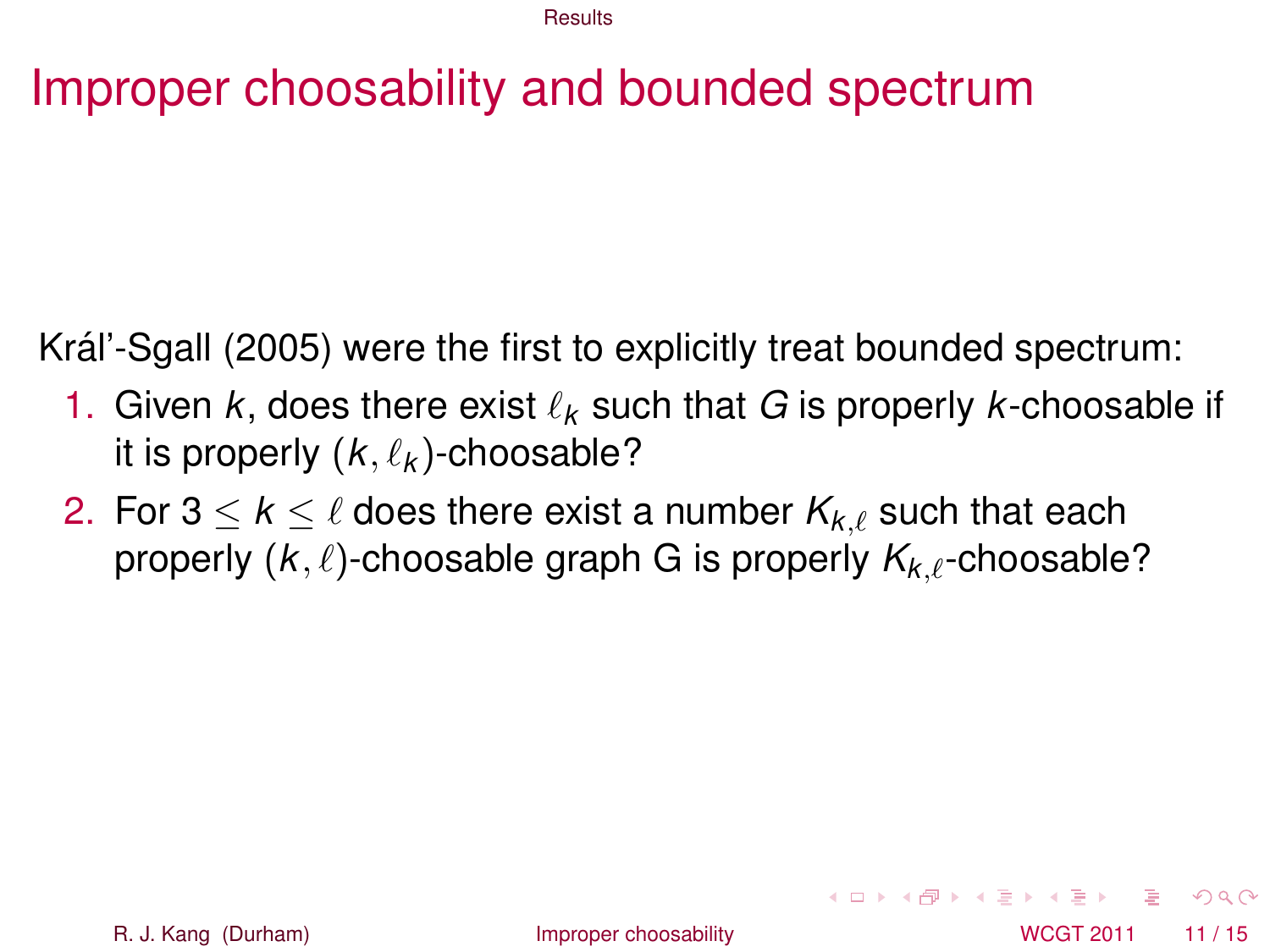# Improper choosability and bounded spectrum

Kráľ-Sgall (2005) were the first to explicitly treat bounded spectrum:

- 1. Given  $k$ , does there exist  $\ell_k$  such that G is properly  $k$ -choosable if it is properly  $(k, \ell_k)$ -choosable?
- 2. For  $3 \leq k \leq \ell$  does there exist a number  $K_{k,\ell}$  such that each properly  $(k, \ell)$ -choosable graph G is properly  $K_{k,\ell}$ -choosable?

<span id="page-15-0"></span> $\Omega$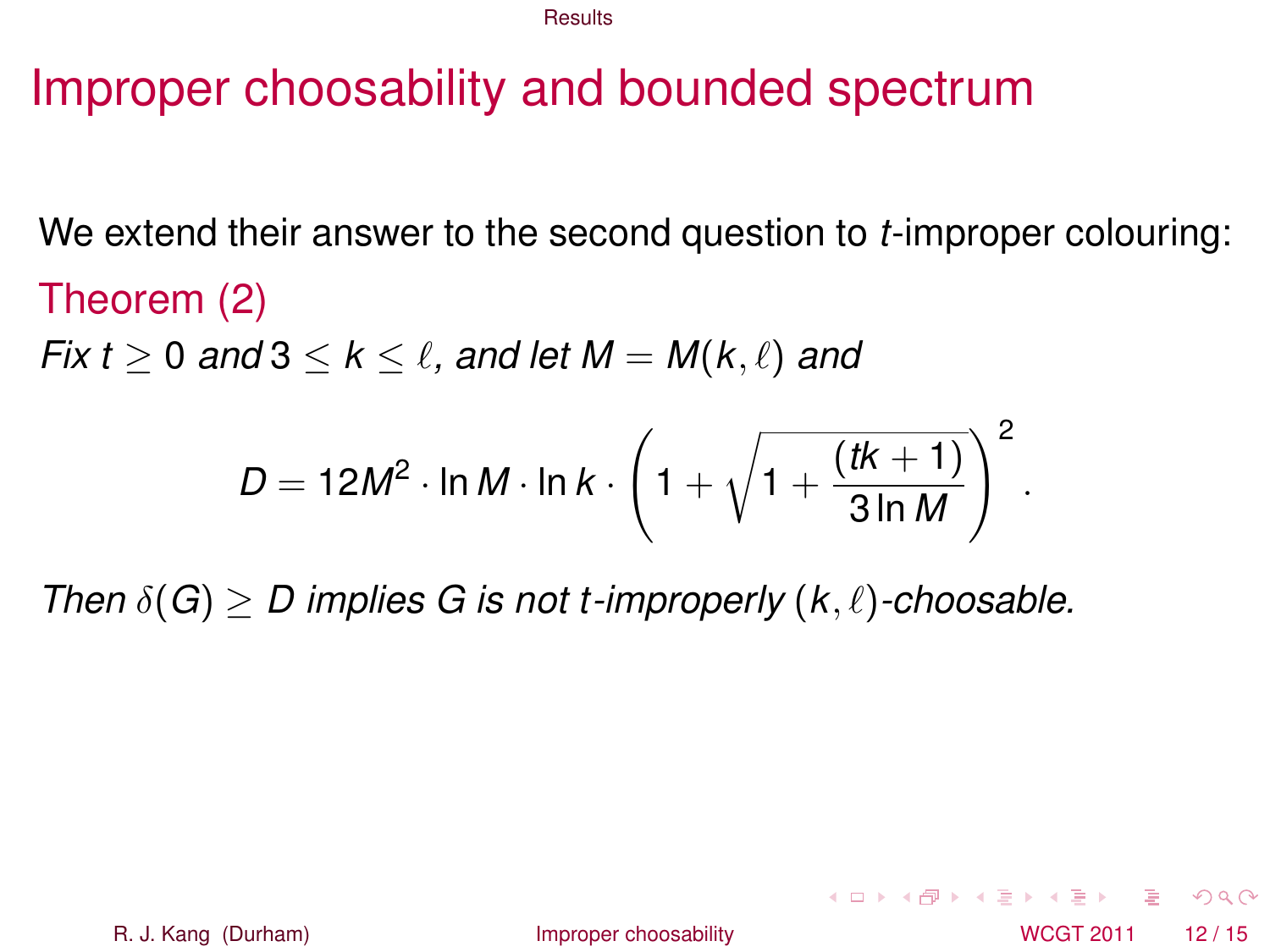### Improper choosability and bounded spectrum

We extend their answer to the second question to *t*-improper colouring:

Theorem (2) *Fix t*  $\geq$  0 *and* 3  $\leq$  *k*  $\leq$  *l*, *and let M* = *M*(*k*,  $\ell$ ) *and* 

<span id="page-16-0"></span>
$$
D = 12M^2 \cdot \ln M \cdot \ln k \cdot \left(1 + \sqrt{1 + \frac{(tk + 1)}{3 \ln M}}\right)^2.
$$

*Then*  $\delta(G) > D$  implies G is not t-improperly  $(k, \ell)$ -choosable.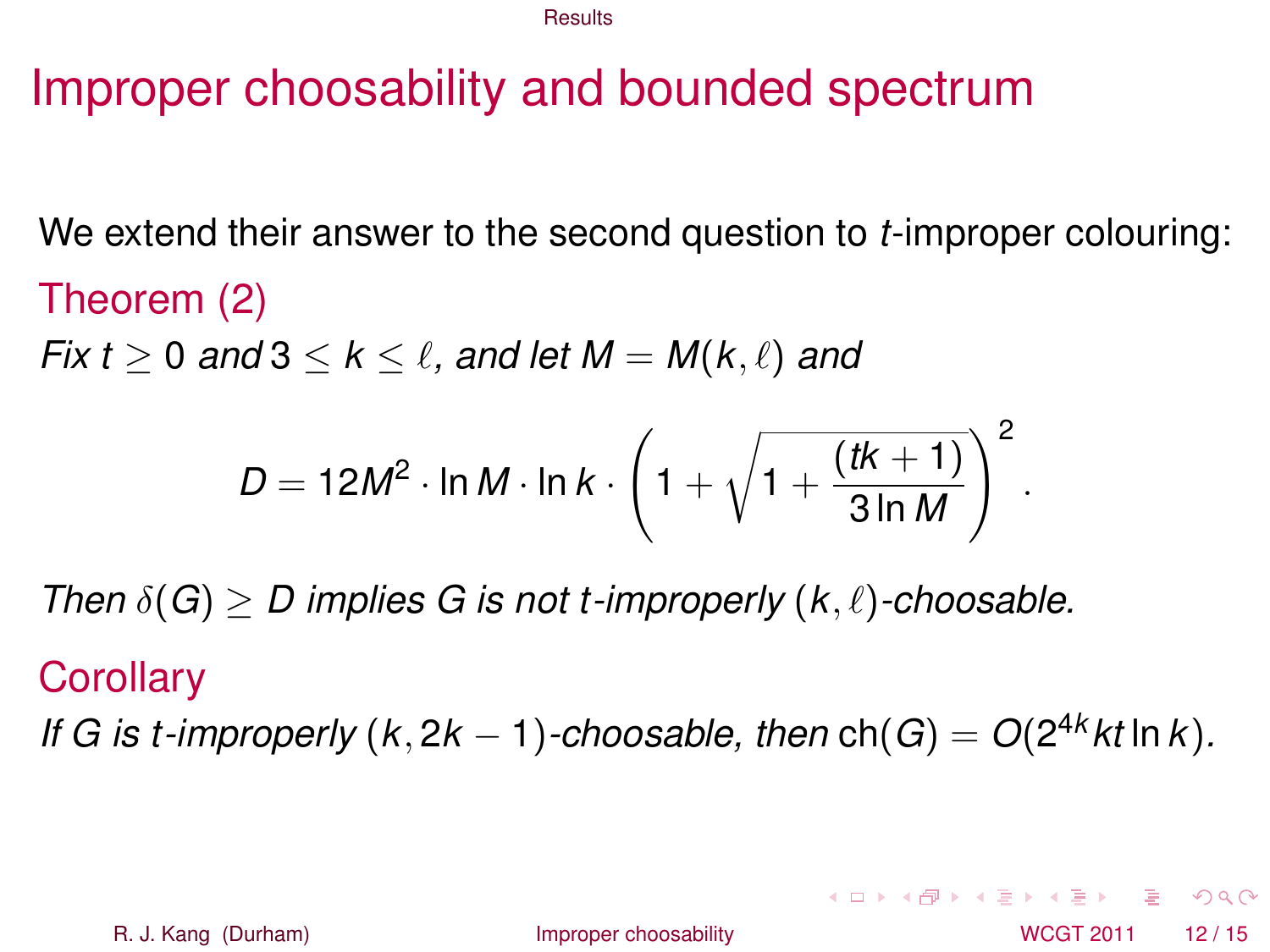# Improper choosability and bounded spectrum

We extend their answer to the second question to *t*-improper colouring:

Theorem (2) *Fix t*  $\geq$  0 *and* 3  $\leq$  *k*  $\leq$  *l*, *and let M* = *M*(*k*,  $\ell$ ) *and* 

<span id="page-17-0"></span>
$$
D = 12M^2 \cdot \ln M \cdot \ln k \cdot \left(1 + \sqrt{1 + \frac{(tk + 1)}{3 \ln M}}\right)^2.
$$

*Then*  $\delta(G) > D$  implies G is not t-improperly  $(k, \ell)$ -choosable.

#### **Corollary**

*If G is t-improperly* ( $k$ , 2 $k$  − 1)*-choosable, then* ch( $G$ ) =  $O(2^{4k}kt \ln k)$ *.*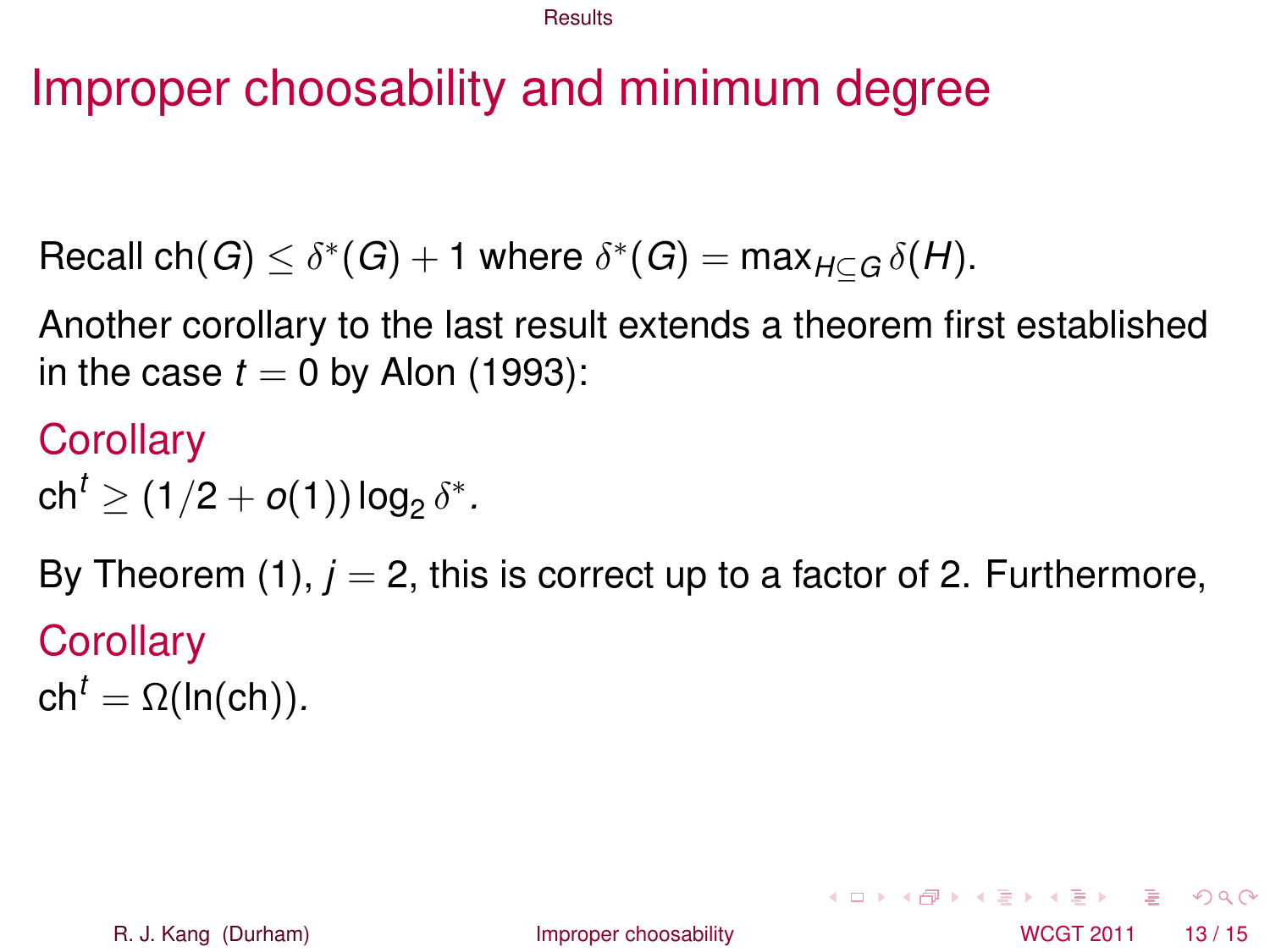# Improper choosability and minimum degree

 $\mathsf{Recall} \; \mathsf{ch}(G) \leq \delta^*(G) + 1 \; \mathsf{where} \; \delta^*(G) = \mathsf{max}_{H \subseteq G} \, \delta(H).$ 

Another corollary to the last result extends a theorem first established in the case  $t = 0$  by Alon (1993):

**Corollary** 

 $\mathsf{ch}^t \geq (1/2+o(1))\log_2\delta^*.$ 

<span id="page-18-0"></span>By Theorem  $(1)$ ,  $j = 2$ , this is correct up to a factor of 2. Furthermore, **Corollary**  $ch<sup>t</sup> = \Omega(ln(ch)).$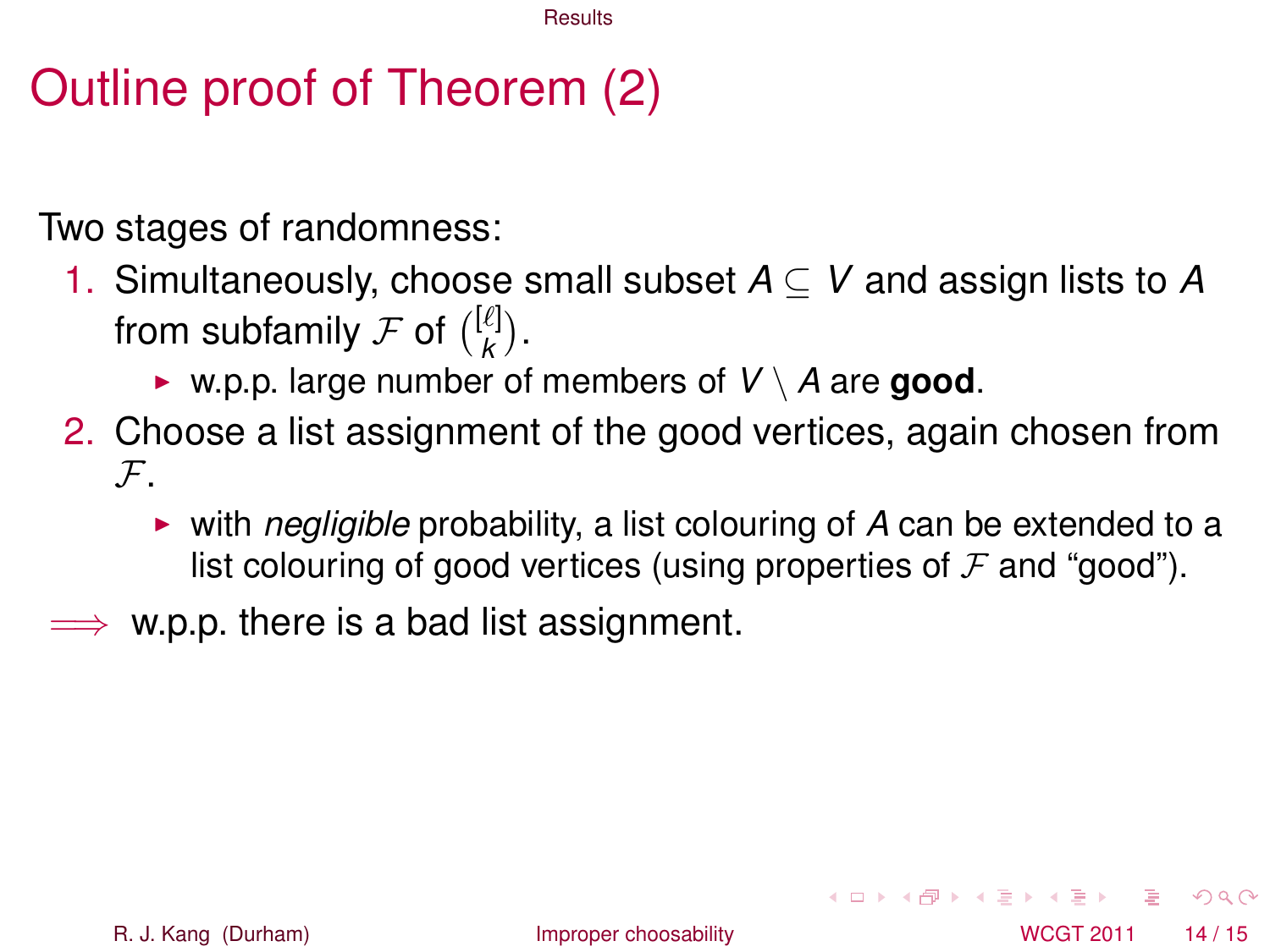# Outline proof of Theorem (2)

Two stages of randomness:

- 1. Simultaneously, choose small subset *A* ⊆ *V* and assign lists to *A* from subfamily  ${\cal F}$  of  $\binom{[\ell]}{{\bm k}}$  $\binom{k}{k}$ .
	- $\triangleright$  w.p.p. large number of members of  $V \setminus A$  are **good**.
- 2. Choose a list assignment of the good vertices, again chosen from  $\mathcal{F}$ .
	- **I** with *negligible* probability, a list colouring of A can be extended to a list colouring of good vertices (using properties of  $\mathcal F$  and "good").
- $\implies$  w.p.p. there is a bad list assignment.

<span id="page-19-0"></span> $\Omega$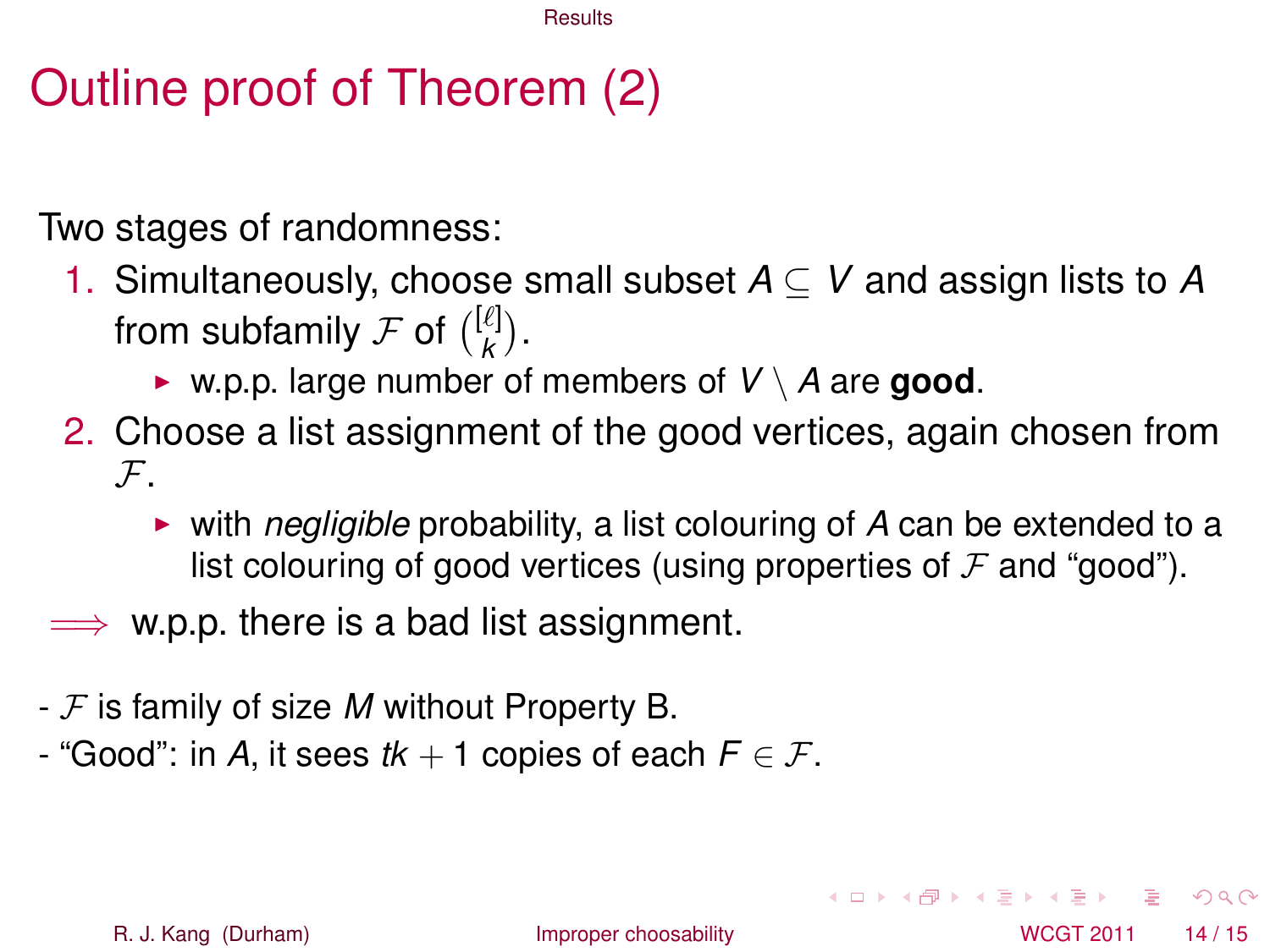# Outline proof of Theorem (2)

Two stages of randomness:

- 1. Simultaneously, choose small subset *A* ⊆ *V* and assign lists to *A* from subfamily  ${\cal F}$  of  $\binom{[\ell]}{{\bm k}}$  $\binom{k}{k}$ .
	- $\triangleright$  w.p.p. large number of members of  $V \setminus A$  are **good**.
- 2. Choose a list assignment of the good vertices, again chosen from  $\mathcal{F}$ .
	- **I** with *negligible* probability, a list colouring of A can be extended to a list colouring of good vertices (using properties of  $\mathcal F$  and "good").
- $\implies$  w.p.p. there is a bad list assignment.
- F is family of size *M* without Property B.
- "Good": in *A*, it sees  $tk + 1$  copies of each  $F \in \mathcal{F}$ .

<span id="page-20-0"></span>

R. J. Kang (Durham) **[Improper choosability](#page-0-0)** Interventional MCGT 2011 14/15